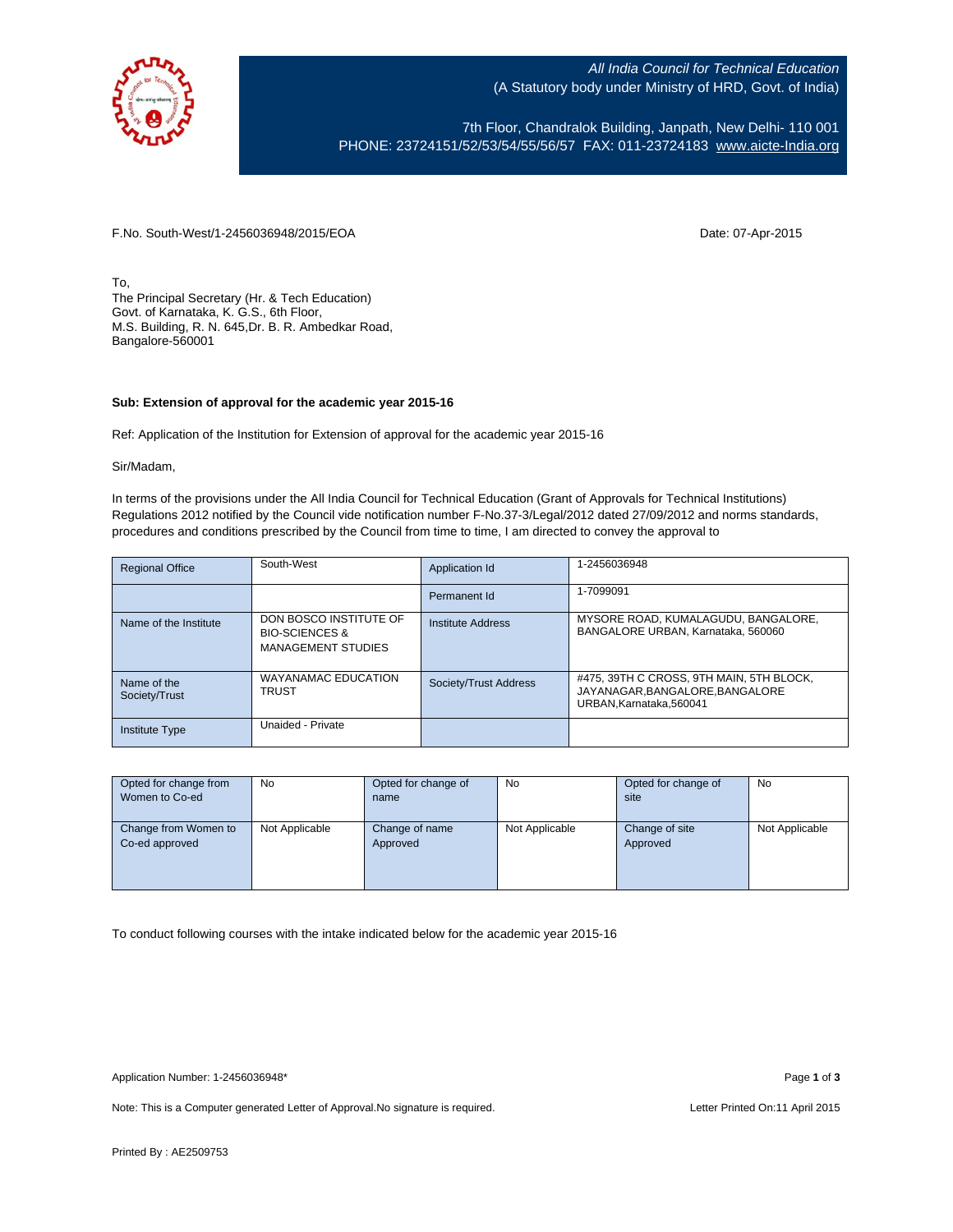

All India Council for Technical Education (A Statutory body under Ministry of HRD, Govt. of India)

7th Floor, Chandralok Building, Janpath, New Delhi- 110 001 PHONE: 23724151/52/53/54/55/56/57 FAX: 011-23724183 [www.aicte-India.org](http://www.aicte-india.org/)

F.No. South-West/1-2456036948/2015/EOA Date: 07-Apr-2015

To, The Principal Secretary (Hr. & Tech Education) Govt. of Karnataka, K. G.S., 6th Floor, M.S. Building, R. N. 645,Dr. B. R. Ambedkar Road, Bangalore-560001

## **Sub: Extension of approval for the academic year 2015-16**

Ref: Application of the Institution for Extension of approval for the academic year 2015-16

Sir/Madam,

In terms of the provisions under the All India Council for Technical Education (Grant of Approvals for Technical Institutions) Regulations 2012 notified by the Council vide notification number F-No.37-3/Legal/2012 dated 27/09/2012 and norms standards, procedures and conditions prescribed by the Council from time to time, I am directed to convey the approval to

| <b>Regional Office</b>       | South-West                                                                       | Application Id           | 1-2456036948                                                                                          |
|------------------------------|----------------------------------------------------------------------------------|--------------------------|-------------------------------------------------------------------------------------------------------|
|                              |                                                                                  | Permanent Id             | 1-7099091                                                                                             |
| Name of the Institute        | DON BOSCO INSTITUTE OF<br><b>BIO-SCIENCES &amp;</b><br><b>MANAGEMENT STUDIES</b> | <b>Institute Address</b> | MYSORE ROAD, KUMALAGUDU, BANGALORE,<br>BANGALORE URBAN, Karnataka, 560060                             |
| Name of the<br>Society/Trust | WAYANAMAC EDUCATION<br><b>TRUST</b>                                              | Society/Trust Address    | #475, 39TH C CROSS, 9TH MAIN, 5TH BLOCK,<br>JAYANAGAR, BANGALORE, BANGALORE<br>URBAN.Karnataka.560041 |
| <b>Institute Type</b>        | Unaided - Private                                                                |                          |                                                                                                       |

| Opted for change from | No             | Opted for change of | No             | Opted for change of | No             |
|-----------------------|----------------|---------------------|----------------|---------------------|----------------|
| Women to Co-ed        |                | name                |                | site                |                |
|                       |                |                     |                |                     |                |
| Change from Women to  | Not Applicable | Change of name      | Not Applicable | Change of site      | Not Applicable |
| Co-ed approved        |                | Approved            |                | Approved            |                |
|                       |                |                     |                |                     |                |
|                       |                |                     |                |                     |                |
|                       |                |                     |                |                     |                |

To conduct following courses with the intake indicated below for the academic year 2015-16

Note: This is a Computer generated Letter of Approval. No signature is required. Letter Printed On:11 April 2015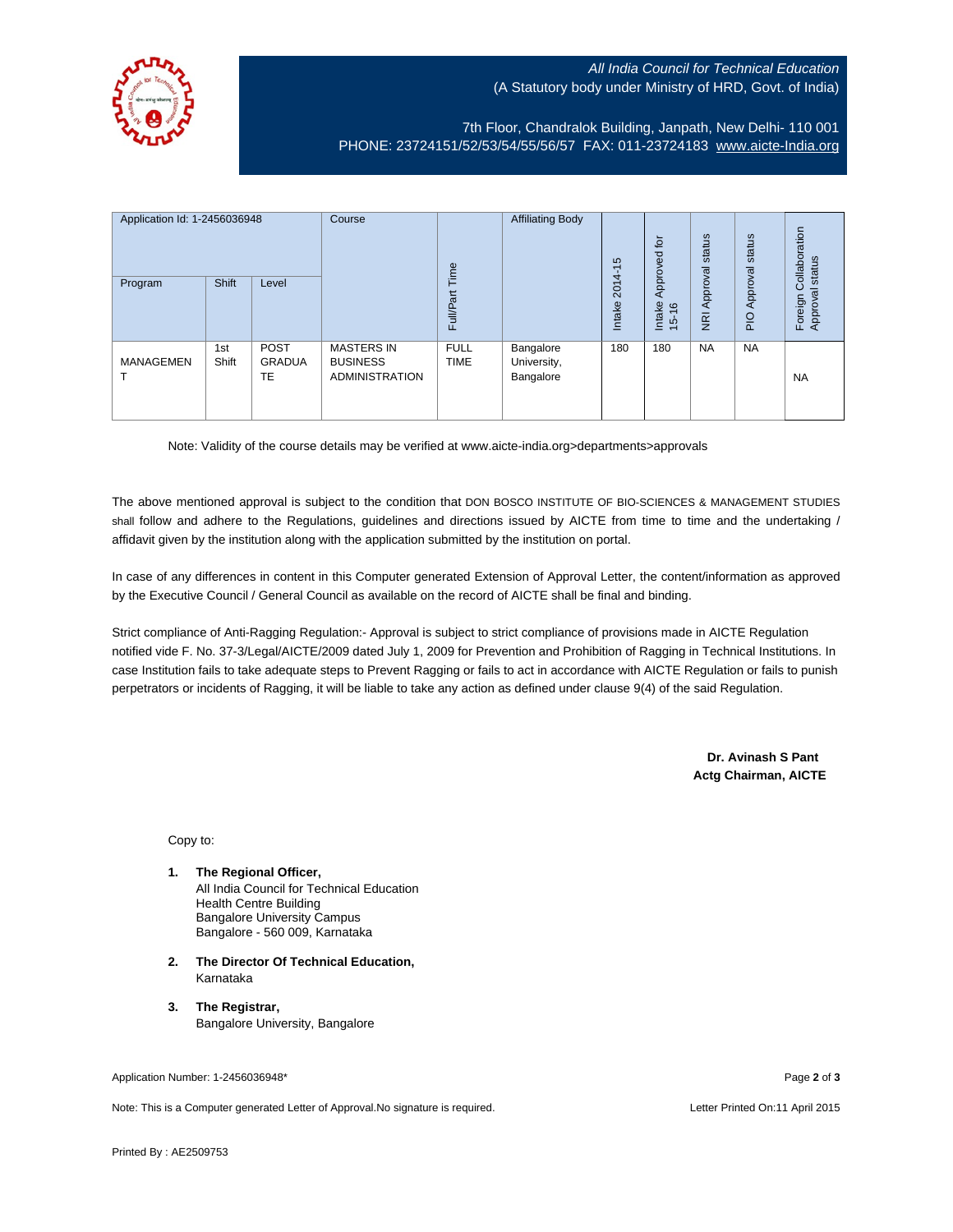## All India Council for Technical Education (A Statutory body under Ministry of HRD, Govt. of India)



7th Floor, Chandralok Building, Janpath, New Delhi- 110 001 PHONE: 23724151/52/53/54/55/56/57 FAX: 011-23724183 [www.aicte-India.org](http://www.aicte-india.org/)

| Application Id: 1-2456036948<br>Program | Shift        | Level                       | Course                                                        | Time<br><b>Full/Part</b>   | <b>Affiliating Body</b>               | S<br>ᡪ<br>$2014 -$<br>Intake | 흐<br>Approved<br>Intake<br>$\frac{6}{2}$<br>$\frac{1}{2}$ | status<br>Approval<br>$\overline{g}$ | status<br>Approval<br>$\frac{1}{2}$ | ollaboration<br>status<br>Ö<br>Approval<br>Foreign |
|-----------------------------------------|--------------|-----------------------------|---------------------------------------------------------------|----------------------------|---------------------------------------|------------------------------|-----------------------------------------------------------|--------------------------------------|-------------------------------------|----------------------------------------------------|
| <b>MANAGEMEN</b>                        | 1st<br>Shift | <b>POST</b><br>GRADUA<br>TE | <b>MASTERS IN</b><br><b>BUSINESS</b><br><b>ADMINISTRATION</b> | <b>FULL</b><br><b>TIME</b> | Bangalore<br>University,<br>Bangalore | 180                          | 180                                                       | <b>NA</b>                            | <b>NA</b>                           | <b>NA</b>                                          |

Note: Validity of the course details may be verified at www.aicte-india.org>departments>approvals

The above mentioned approval is subject to the condition that DON BOSCO INSTITUTE OF BIO-SCIENCES & MANAGEMENT STUDIES shall follow and adhere to the Regulations, guidelines and directions issued by AICTE from time to time and the undertaking / affidavit given by the institution along with the application submitted by the institution on portal.

In case of any differences in content in this Computer generated Extension of Approval Letter, the content/information as approved by the Executive Council / General Council as available on the record of AICTE shall be final and binding.

Strict compliance of Anti-Ragging Regulation:- Approval is subject to strict compliance of provisions made in AICTE Regulation notified vide F. No. 37-3/Legal/AICTE/2009 dated July 1, 2009 for Prevention and Prohibition of Ragging in Technical Institutions. In case Institution fails to take adequate steps to Prevent Ragging or fails to act in accordance with AICTE Regulation or fails to punish perpetrators or incidents of Ragging, it will be liable to take any action as defined under clause 9(4) of the said Regulation.

> **Dr. Avinash S Pant Actg Chairman, AICTE**

Copy to:

- **1. The Regional Officer,** All India Council for Technical Education Health Centre Building Bangalore University Campus Bangalore - 560 009, Karnataka
- **2. The Director Of Technical Education,** Karnataka
- **3. The Registrar,** Bangalore University, Bangalore

Application Number: 1-2456036948\* Page **2** of **3**

Note: This is a Computer generated Letter of Approval.No signature is required. Letter According the state of the Letter Printed On:11 April 2015